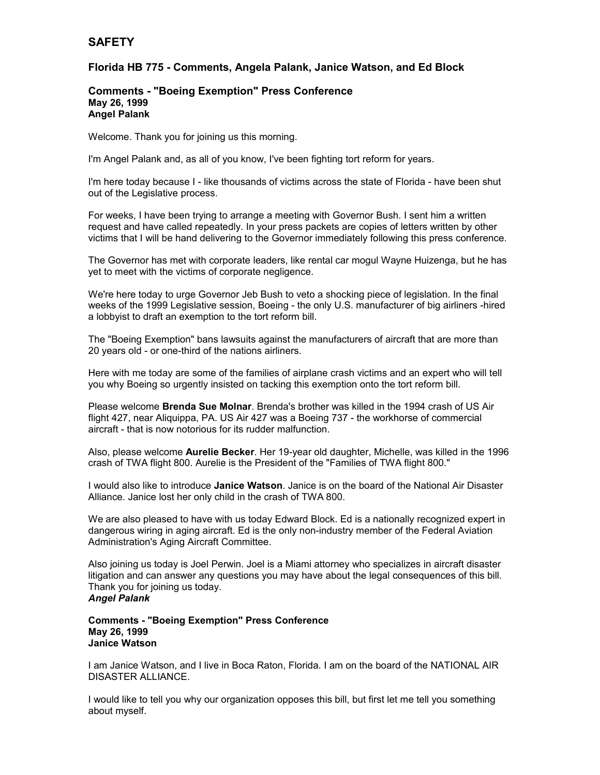# **SAFETY**

### **Florida HB 775 - Comments, Angela Palank, Janice Watson, and Ed Block**

#### **Comments - "Boeing Exemption" Press Conference May 26, 1999 Angel Palank**

Welcome. Thank you for joining us this morning.

I'm Angel Palank and, as all of you know, I've been fighting tort reform for years.

I'm here today because I - like thousands of victims across the state of Florida - have been shut out of the Legislative process.

For weeks, I have been trying to arrange a meeting with Governor Bush. I sent him a written request and have called repeatedly. In your press packets are copies of letters written by other victims that I will be hand delivering to the Governor immediately following this press conference.

The Governor has met with corporate leaders, like rental car mogul Wayne Huizenga, but he has yet to meet with the victims of corporate negligence.

We're here today to urge Governor Jeb Bush to veto a shocking piece of legislation. In the final weeks of the 1999 Legislative session, Boeing - the only U.S. manufacturer of big airliners -hired a lobbyist to draft an exemption to the tort reform bill.

The "Boeing Exemption" bans lawsuits against the manufacturers of aircraft that are more than 20 years old - or one-third of the nations airliners.

Here with me today are some of the families of airplane crash victims and an expert who will tell you why Boeing so urgently insisted on tacking this exemption onto the tort reform bill.

Please welcome **Brenda Sue Molnar**. Brenda's brother was killed in the 1994 crash of US Air flight 427, near Aliquippa, PA. US Air 427 was a Boeing 737 - the workhorse of commercial aircraft - that is now notorious for its rudder malfunction.

Also, please welcome **Aurelie Becker**. Her 19-year old daughter, Michelle, was killed in the 1996 crash of TWA flight 800. Aurelie is the President of the "Families of TWA flight 800."

I would also like to introduce **Janice Watson**. Janice is on the board of the National Air Disaster Alliance. Janice lost her only child in the crash of TWA 800.

We are also pleased to have with us today Edward Block. Ed is a nationally recognized expert in dangerous wiring in aging aircraft. Ed is the only non-industry member of the Federal Aviation Administration's Aging Aircraft Committee.

Also joining us today is Joel Perwin. Joel is a Miami attorney who specializes in aircraft disaster litigation and can answer any questions you may have about the legal consequences of this bill. Thank you for joining us today. *Angel Palank*

## **Comments - "Boeing Exemption" Press Conference May 26, 1999 Janice Watson**

I am Janice Watson, and I live in Boca Raton, Florida. I am on the board of the NATIONAL AIR DISASTER ALLIANCE.

I would like to tell you why our organization opposes this bill, but first let me tell you something about myself.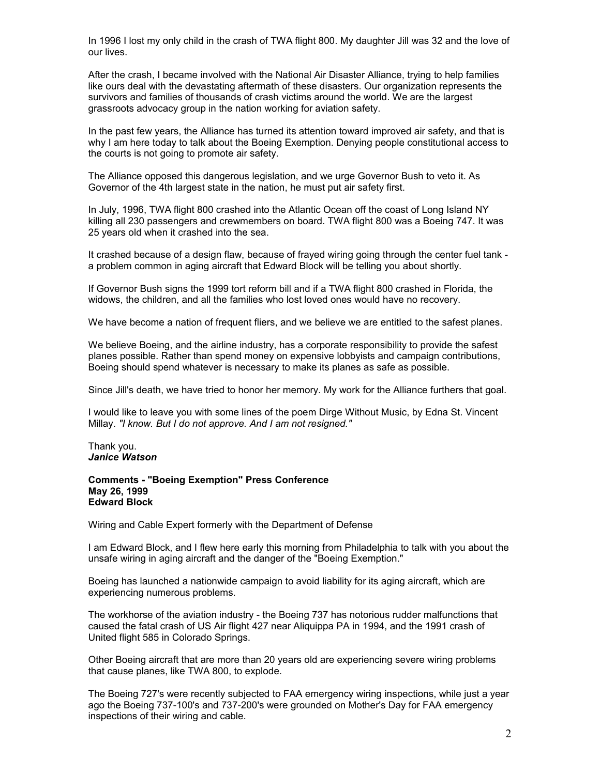In 1996 I lost my only child in the crash of TWA flight 800. My daughter Jill was 32 and the love of our lives.

After the crash, I became involved with the National Air Disaster Alliance, trying to help families like ours deal with the devastating aftermath of these disasters. Our organization represents the survivors and families of thousands of crash victims around the world. We are the largest grassroots advocacy group in the nation working for aviation safety.

In the past few years, the Alliance has turned its attention toward improved air safety, and that is why I am here today to talk about the Boeing Exemption. Denying people constitutional access to the courts is not going to promote air safety.

The Alliance opposed this dangerous legislation, and we urge Governor Bush to veto it. As Governor of the 4th largest state in the nation, he must put air safety first.

In July, 1996, TWA flight 800 crashed into the Atlantic Ocean off the coast of Long Island NY killing all 230 passengers and crewmembers on board. TWA flight 800 was a Boeing 747. It was 25 years old when it crashed into the sea.

It crashed because of a design flaw, because of frayed wiring going through the center fuel tank a problem common in aging aircraft that Edward Block will be telling you about shortly.

If Governor Bush signs the 1999 tort reform bill and if a TWA flight 800 crashed in Florida, the widows, the children, and all the families who lost loved ones would have no recovery.

We have become a nation of frequent fliers, and we believe we are entitled to the safest planes.

We believe Boeing, and the airline industry, has a corporate responsibility to provide the safest planes possible. Rather than spend money on expensive lobbyists and campaign contributions, Boeing should spend whatever is necessary to make its planes as safe as possible.

Since Jill's death, we have tried to honor her memory. My work for the Alliance furthers that goal.

I would like to leave you with some lines of the poem Dirge Without Music, by Edna St. Vincent Millay. *"I know. But I do not approve. And I am not resigned."*

Thank you. *Janice Watson*

**Comments - "Boeing Exemption" Press Conference May 26, 1999 Edward Block** 

Wiring and Cable Expert formerly with the Department of Defense

I am Edward Block, and I flew here early this morning from Philadelphia to talk with you about the unsafe wiring in aging aircraft and the danger of the "Boeing Exemption."

Boeing has launched a nationwide campaign to avoid liability for its aging aircraft, which are experiencing numerous problems.

The workhorse of the aviation industry - the Boeing 737 has notorious rudder malfunctions that caused the fatal crash of US Air flight 427 near Aliquippa PA in 1994, and the 1991 crash of United flight 585 in Colorado Springs.

Other Boeing aircraft that are more than 20 years old are experiencing severe wiring problems that cause planes, like TWA 800, to explode.

The Boeing 727's were recently subjected to FAA emergency wiring inspections, while just a year ago the Boeing 737-100's and 737-200's were grounded on Mother's Day for FAA emergency inspections of their wiring and cable.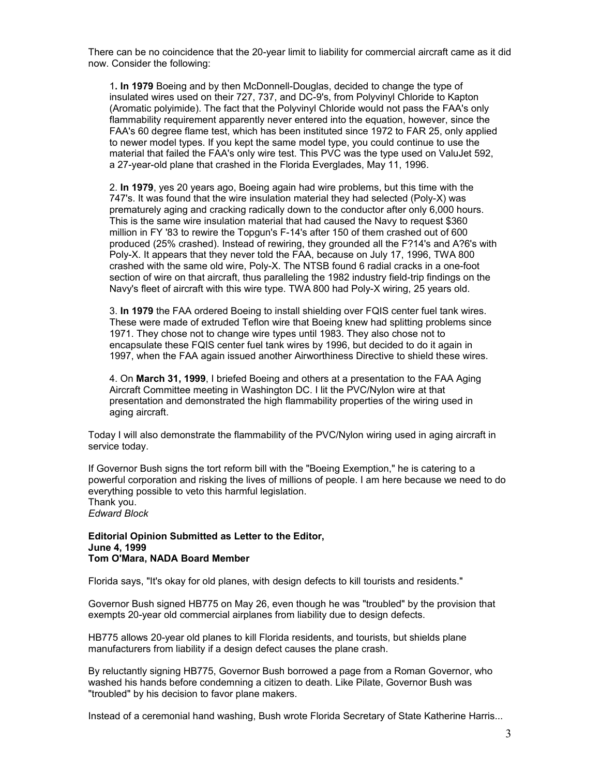There can be no coincidence that the 20-year limit to liability for commercial aircraft came as it did now. Consider the following:

1**. In 1979** Boeing and by then McDonnell-Douglas, decided to change the type of insulated wires used on their 727, 737, and DC-9's, from Polyvinyl Chloride to Kapton (Aromatic polyimide). The fact that the Polyvinyl Chloride would not pass the FAA's only flammability requirement apparently never entered into the equation, however, since the FAA's 60 degree flame test, which has been instituted since 1972 to FAR 25, only applied to newer model types. If you kept the same model type, you could continue to use the material that failed the FAA's only wire test. This PVC was the type used on ValuJet 592, a 27-year-old plane that crashed in the Florida Everglades, May 11, 1996.

2. **In 1979**, yes 20 years ago, Boeing again had wire problems, but this time with the 747's. It was found that the wire insulation material they had selected (Poly-X) was prematurely aging and cracking radically down to the conductor after only 6,000 hours. This is the same wire insulation material that had caused the Navy to request \$360 million in FY '83 to rewire the Topgun's F-14's after 150 of them crashed out of 600 produced (25% crashed). Instead of rewiring, they grounded all the F?14's and A?6's with Poly-X. It appears that they never told the FAA, because on July 17, 1996, TWA 800 crashed with the same old wire, Poly-X. The NTSB found 6 radial cracks in a one-foot section of wire on that aircraft, thus paralleling the 1982 industry field-trip findings on the Navy's fleet of aircraft with this wire type. TWA 800 had Poly-X wiring, 25 years old.

3. **In 1979** the FAA ordered Boeing to install shielding over FQIS center fuel tank wires. These were made of extruded Teflon wire that Boeing knew had splitting problems since 1971. They chose not to change wire types until 1983. They also chose not to encapsulate these FQIS center fuel tank wires by 1996, but decided to do it again in 1997, when the FAA again issued another Airworthiness Directive to shield these wires.

4. On **March 31, 1999**, I briefed Boeing and others at a presentation to the FAA Aging Aircraft Committee meeting in Washington DC. I lit the PVC/Nylon wire at that presentation and demonstrated the high flammability properties of the wiring used in aging aircraft.

Today I will also demonstrate the flammability of the PVC/Nylon wiring used in aging aircraft in service today.

If Governor Bush signs the tort reform bill with the "Boeing Exemption," he is catering to a powerful corporation and risking the lives of millions of people. I am here because we need to do everything possible to veto this harmful legislation.

Thank you. *Edward Block* 

**Editorial Opinion Submitted as Letter to the Editor,**

# **June 4, 1999 Tom O'Mara, NADA Board Member**

Florida says, "It's okay for old planes, with design defects to kill tourists and residents."

Governor Bush signed HB775 on May 26, even though he was "troubled" by the provision that exempts 20-year old commercial airplanes from liability due to design defects.

HB775 allows 20-year old planes to kill Florida residents, and tourists, but shields plane manufacturers from liability if a design defect causes the plane crash.

By reluctantly signing HB775, Governor Bush borrowed a page from a Roman Governor, who washed his hands before condemning a citizen to death. Like Pilate, Governor Bush was "troubled" by his decision to favor plane makers.

Instead of a ceremonial hand washing, Bush wrote Florida Secretary of State Katherine Harris...